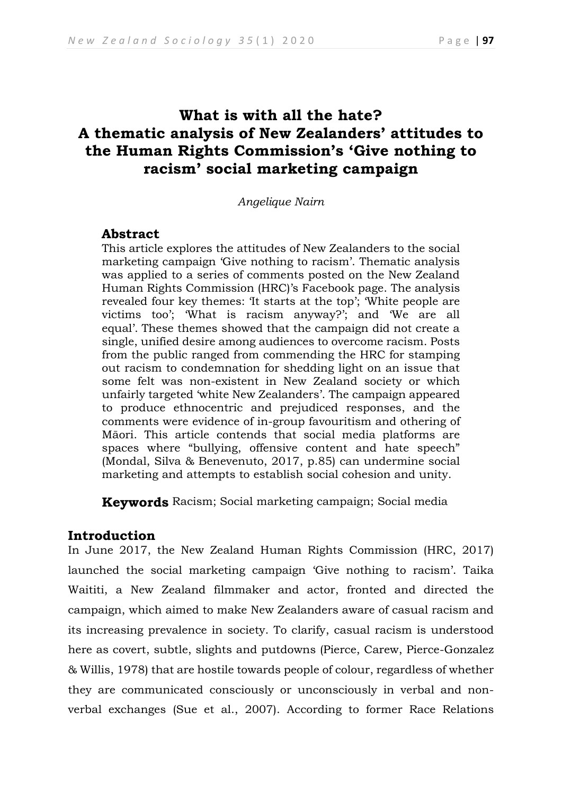# **What is with all the hate? A thematic analysis of New Zealanders' attitudes to the Human Rights Commission's 'Give nothing to racism' social marketing campaign**

*Angelique Nairn*

# **Abstract**

This article explores the attitudes of New Zealanders to the social marketing campaign 'Give nothing to racism'. Thematic analysis was applied to a series of comments posted on the New Zealand Human Rights Commission (HRC)'s Facebook page. The analysis revealed four key themes: 'It starts at the top'; 'White people are victims too'; 'What is racism anyway?'; and 'We are all equal'. These themes showed that the campaign did not create a single, unified desire among audiences to overcome racism. Posts from the public ranged from commending the HRC for stamping out racism to condemnation for shedding light on an issue that some felt was non-existent in New Zealand society or which unfairly targeted 'white New Zealanders'. The campaign appeared to produce ethnocentric and prejudiced responses, and the comments were evidence of in-group favouritism and othering of Māori. This article contends that social media platforms are spaces where "bullying, offensive content and hate speech" (Mondal, Silva & Benevenuto, 2017, p.85) can undermine social marketing and attempts to establish social cohesion and unity.

**Keywords** Racism; Social marketing campaign; Social media

# **Introduction**

In June 2017, the New Zealand Human Rights Commission (HRC, 2017) launched the social marketing campaign 'Give nothing to racism'. Taika Waititi, a New Zealand filmmaker and actor, fronted and directed the campaign, which aimed to make New Zealanders aware of casual racism and its increasing prevalence in society. To clarify, casual racism is understood here as covert, subtle, slights and putdowns (Pierce, Carew, Pierce-Gonzalez & Willis, 1978) that are hostile towards people of colour, regardless of whether they are communicated consciously or unconsciously in verbal and nonverbal exchanges (Sue et al., 2007). According to former Race Relations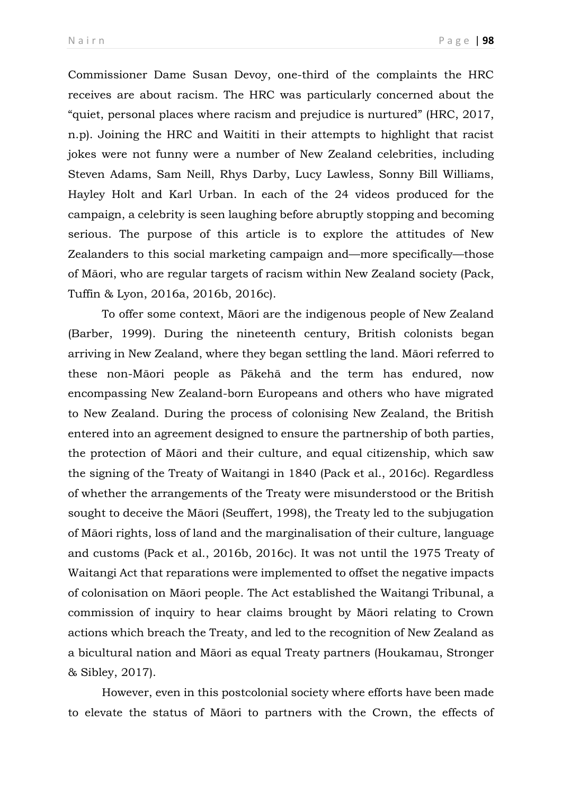Commissioner Dame Susan Devoy, one-third of the complaints the HRC receives are about racism. The HRC was particularly concerned about the "quiet, personal places where racism and prejudice is nurtured" (HRC, 2017, n.p). Joining the HRC and Waititi in their attempts to highlight that racist jokes were not funny were a number of New Zealand celebrities, including Steven Adams, Sam Neill, Rhys Darby, Lucy Lawless, Sonny Bill Williams, Hayley Holt and Karl Urban. In each of the 24 videos produced for the campaign, a celebrity is seen laughing before abruptly stopping and becoming serious. The purpose of this article is to explore the attitudes of New Zealanders to this social marketing campaign and—more specifically—those of Māori, who are regular targets of racism within New Zealand society (Pack, Tuffin & Lyon, 2016a, 2016b, 2016c).

To offer some context, Māori are the indigenous people of New Zealand (Barber, 1999). During the nineteenth century, British colonists began arriving in New Zealand, where they began settling the land. Māori referred to these non-Māori people as Pākehā and the term has endured, now encompassing New Zealand-born Europeans and others who have migrated to New Zealand. During the process of colonising New Zealand, the British entered into an agreement designed to ensure the partnership of both parties, the protection of Māori and their culture, and equal citizenship, which saw the signing of the Treaty of Waitangi in 1840 (Pack et al., 2016c). Regardless of whether the arrangements of the Treaty were misunderstood or the British sought to deceive the Māori (Seuffert, 1998), the Treaty led to the subjugation of Māori rights, loss of land and the marginalisation of their culture, language and customs (Pack et al., 2016b, 2016c). It was not until the 1975 Treaty of Waitangi Act that reparations were implemented to offset the negative impacts of colonisation on Māori people. The Act established the Waitangi Tribunal, a commission of inquiry to hear claims brought by Māori relating to Crown actions which breach the Treaty, and led to the recognition of New Zealand as a bicultural nation and Māori as equal Treaty partners (Houkamau, Stronger & Sibley, 2017).

However, even in this postcolonial society where efforts have been made to elevate the status of Māori to partners with the Crown, the effects of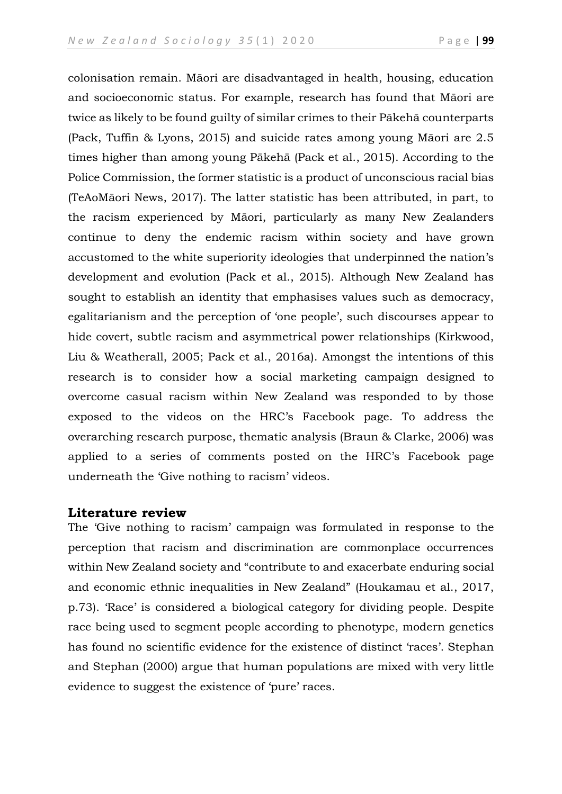colonisation remain. Māori are disadvantaged in health, housing, education and socioeconomic status. For example, research has found that Māori are twice as likely to be found guilty of similar crimes to their Pākehā counterparts (Pack, Tuffin & Lyons, 2015) and suicide rates among young Māori are 2.5 times higher than among young Pākehā (Pack et al., 2015). According to the Police Commission, the former statistic is a product of unconscious racial bias (TeAoMāori News, 2017). The latter statistic has been attributed, in part, to the racism experienced by Māori, particularly as many New Zealanders continue to deny the endemic racism within society and have grown accustomed to the white superiority ideologies that underpinned the nation's development and evolution (Pack et al., 2015). Although New Zealand has sought to establish an identity that emphasises values such as democracy, egalitarianism and the perception of 'one people', such discourses appear to hide covert, subtle racism and asymmetrical power relationships (Kirkwood, Liu & Weatherall, 2005; Pack et al., 2016a). Amongst the intentions of this research is to consider how a social marketing campaign designed to overcome casual racism within New Zealand was responded to by those exposed to the videos on the HRC's Facebook page. To address the overarching research purpose, thematic analysis (Braun & Clarke, 2006) was applied to a series of comments posted on the HRC's Facebook page underneath the 'Give nothing to racism' videos.

## **Literature review**

The 'Give nothing to racism' campaign was formulated in response to the perception that racism and discrimination are commonplace occurrences within New Zealand society and "contribute to and exacerbate enduring social and economic ethnic inequalities in New Zealand" (Houkamau et al., 2017, p.73). 'Race' is considered a biological category for dividing people. Despite race being used to segment people according to phenotype, modern genetics has found no scientific evidence for the existence of distinct 'races'. Stephan and Stephan (2000) argue that human populations are mixed with very little evidence to suggest the existence of 'pure' races.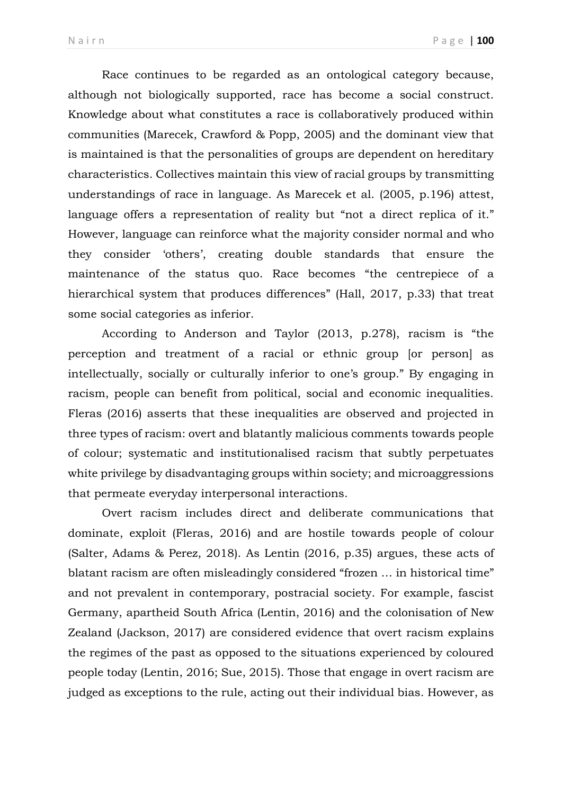Race continues to be regarded as an ontological category because, although not biologically supported, race has become a social construct. Knowledge about what constitutes a race is collaboratively produced within communities (Marecek, Crawford & Popp, 2005) and the dominant view that is maintained is that the personalities of groups are dependent on hereditary characteristics. Collectives maintain this view of racial groups by transmitting understandings of race in language. As Marecek et al. (2005, p.196) attest, language offers a representation of reality but "not a direct replica of it." However, language can reinforce what the majority consider normal and who they consider 'others', creating double standards that ensure the maintenance of the status quo. Race becomes "the centrepiece of a hierarchical system that produces differences" (Hall, 2017, p.33) that treat some social categories as inferior.

According to Anderson and Taylor (2013, p.278), racism is "the perception and treatment of a racial or ethnic group [or person] as intellectually, socially or culturally inferior to one's group." By engaging in racism, people can benefit from political, social and economic inequalities. Fleras (2016) asserts that these inequalities are observed and projected in three types of racism: overt and blatantly malicious comments towards people of colour; systematic and institutionalised racism that subtly perpetuates white privilege by disadvantaging groups within society; and microaggressions that permeate everyday interpersonal interactions.

Overt racism includes direct and deliberate communications that dominate, exploit (Fleras, 2016) and are hostile towards people of colour (Salter, Adams & Perez, 2018). As Lentin (2016, p.35) argues, these acts of blatant racism are often misleadingly considered "frozen … in historical time" and not prevalent in contemporary, postracial society. For example, fascist Germany, apartheid South Africa (Lentin, 2016) and the colonisation of New Zealand (Jackson, 2017) are considered evidence that overt racism explains the regimes of the past as opposed to the situations experienced by coloured people today (Lentin, 2016; Sue, 2015). Those that engage in overt racism are judged as exceptions to the rule, acting out their individual bias. However, as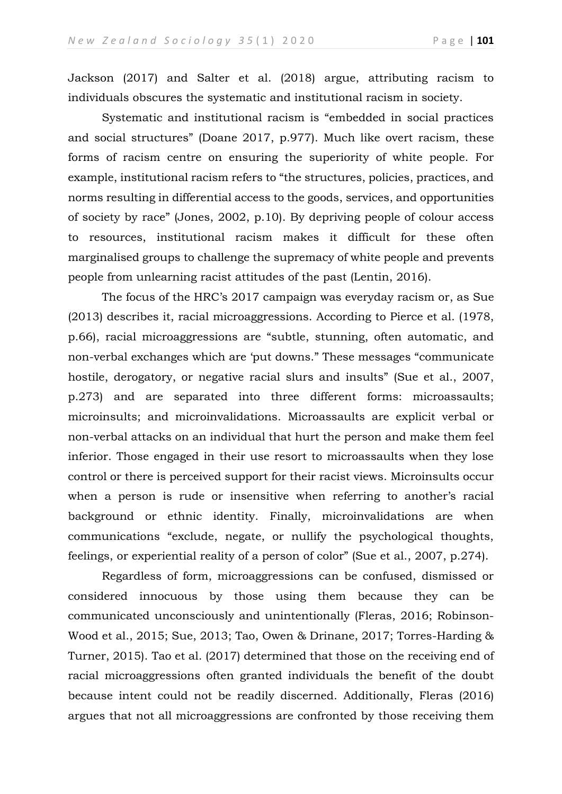Jackson (2017) and Salter et al. (2018) argue, attributing racism to individuals obscures the systematic and institutional racism in society.

Systematic and institutional racism is "embedded in social practices and social structures" (Doane 2017, p.977). Much like overt racism, these forms of racism centre on ensuring the superiority of white people. For example, institutional racism refers to "the structures, policies, practices, and norms resulting in differential access to the goods, services, and opportunities of society by race" (Jones, 2002, p.10). By depriving people of colour access to resources, institutional racism makes it difficult for these often marginalised groups to challenge the supremacy of white people and prevents people from unlearning racist attitudes of the past (Lentin, 2016).

The focus of the HRC's 2017 campaign was everyday racism or, as Sue (2013) describes it, racial microaggressions. According to Pierce et al. (1978, p.66), racial microaggressions are "subtle, stunning, often automatic, and non-verbal exchanges which are 'put downs." These messages "communicate hostile, derogatory, or negative racial slurs and insults" (Sue et al., 2007, p.273) and are separated into three different forms: microassaults; microinsults; and microinvalidations. Microassaults are explicit verbal or non-verbal attacks on an individual that hurt the person and make them feel inferior. Those engaged in their use resort to microassaults when they lose control or there is perceived support for their racist views. Microinsults occur when a person is rude or insensitive when referring to another's racial background or ethnic identity. Finally, microinvalidations are when communications "exclude, negate, or nullify the psychological thoughts, feelings, or experiential reality of a person of color" (Sue et al., 2007, p.274).

Regardless of form, microaggressions can be confused, dismissed or considered innocuous by those using them because they can be communicated unconsciously and unintentionally (Fleras, 2016; Robinson-Wood et al., 2015; Sue, 2013; Tao, Owen & Drinane, 2017; Torres-Harding & Turner, 2015). Tao et al. (2017) determined that those on the receiving end of racial microaggressions often granted individuals the benefit of the doubt because intent could not be readily discerned. Additionally, Fleras (2016) argues that not all microaggressions are confronted by those receiving them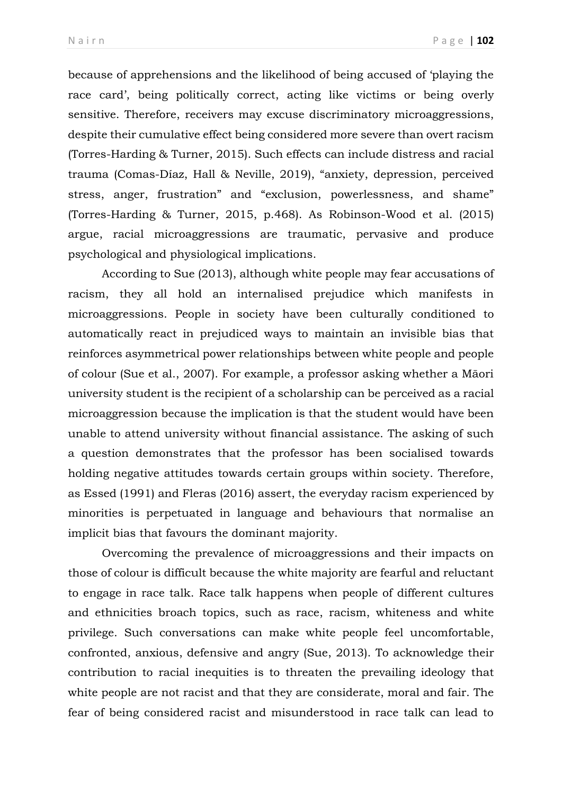because of apprehensions and the likelihood of being accused of 'playing the race card', being politically correct, acting like victims or being overly sensitive. Therefore, receivers may excuse discriminatory microaggressions, despite their cumulative effect being considered more severe than overt racism (Torres-Harding & Turner, 2015). Such effects can include distress and racial trauma (Comas-Díaz, Hall & Neville, 2019), "anxiety, depression, perceived stress, anger, frustration" and "exclusion, powerlessness, and shame" (Torres-Harding & Turner, 2015, p.468). As Robinson-Wood et al. (2015) argue, racial microaggressions are traumatic, pervasive and produce psychological and physiological implications.

According to Sue (2013), although white people may fear accusations of racism, they all hold an internalised prejudice which manifests in microaggressions. People in society have been culturally conditioned to automatically react in prejudiced ways to maintain an invisible bias that reinforces asymmetrical power relationships between white people and people of colour (Sue et al., 2007). For example, a professor asking whether a Māori university student is the recipient of a scholarship can be perceived as a racial microaggression because the implication is that the student would have been unable to attend university without financial assistance. The asking of such a question demonstrates that the professor has been socialised towards holding negative attitudes towards certain groups within society. Therefore, as Essed (1991) and Fleras (2016) assert, the everyday racism experienced by minorities is perpetuated in language and behaviours that normalise an implicit bias that favours the dominant majority.

Overcoming the prevalence of microaggressions and their impacts on those of colour is difficult because the white majority are fearful and reluctant to engage in race talk. Race talk happens when people of different cultures and ethnicities broach topics, such as race, racism, whiteness and white privilege. Such conversations can make white people feel uncomfortable, confronted, anxious, defensive and angry (Sue, 2013). To acknowledge their contribution to racial inequities is to threaten the prevailing ideology that white people are not racist and that they are considerate, moral and fair. The fear of being considered racist and misunderstood in race talk can lead to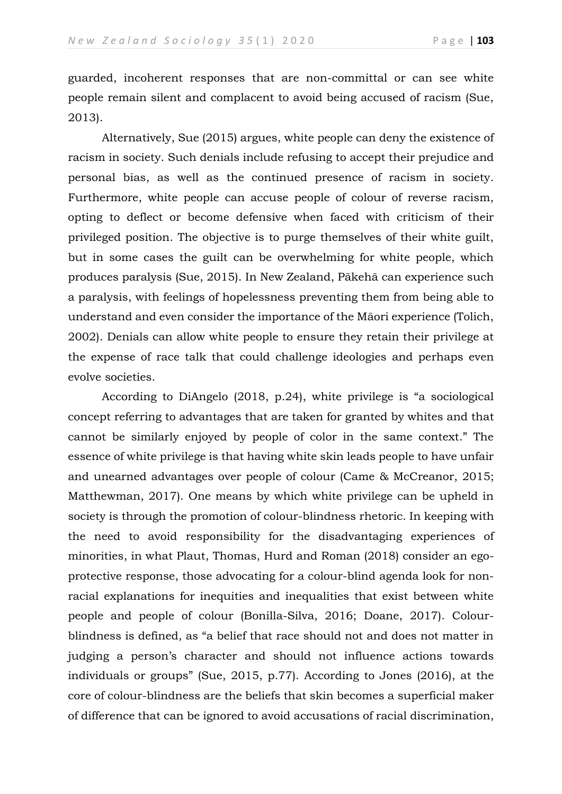guarded, incoherent responses that are non-committal or can see white people remain silent and complacent to avoid being accused of racism (Sue, 2013).

Alternatively, Sue (2015) argues, white people can deny the existence of racism in society. Such denials include refusing to accept their prejudice and personal bias, as well as the continued presence of racism in society. Furthermore, white people can accuse people of colour of reverse racism, opting to deflect or become defensive when faced with criticism of their privileged position. The objective is to purge themselves of their white guilt, but in some cases the guilt can be overwhelming for white people, which produces paralysis (Sue, 2015). In New Zealand, Pākehā can experience such a paralysis, with feelings of hopelessness preventing them from being able to understand and even consider the importance of the Māori experience (Tolich, 2002). Denials can allow white people to ensure they retain their privilege at the expense of race talk that could challenge ideologies and perhaps even evolve societies.

According to DiAngelo (2018, p.24), white privilege is "a sociological concept referring to advantages that are taken for granted by whites and that cannot be similarly enjoyed by people of color in the same context." The essence of white privilege is that having white skin leads people to have unfair and unearned advantages over people of colour (Came & McCreanor, 2015; Matthewman, 2017). One means by which white privilege can be upheld in society is through the promotion of colour-blindness rhetoric. In keeping with the need to avoid responsibility for the disadvantaging experiences of minorities, in what Plaut, Thomas, Hurd and Roman (2018) consider an egoprotective response, those advocating for a colour-blind agenda look for nonracial explanations for inequities and inequalities that exist between white people and people of colour (Bonilla-Silva, 2016; Doane, 2017). Colourblindness is defined, as "a belief that race should not and does not matter in judging a person's character and should not influence actions towards individuals or groups" (Sue, 2015, p.77). According to Jones (2016), at the core of colour-blindness are the beliefs that skin becomes a superficial maker of difference that can be ignored to avoid accusations of racial discrimination,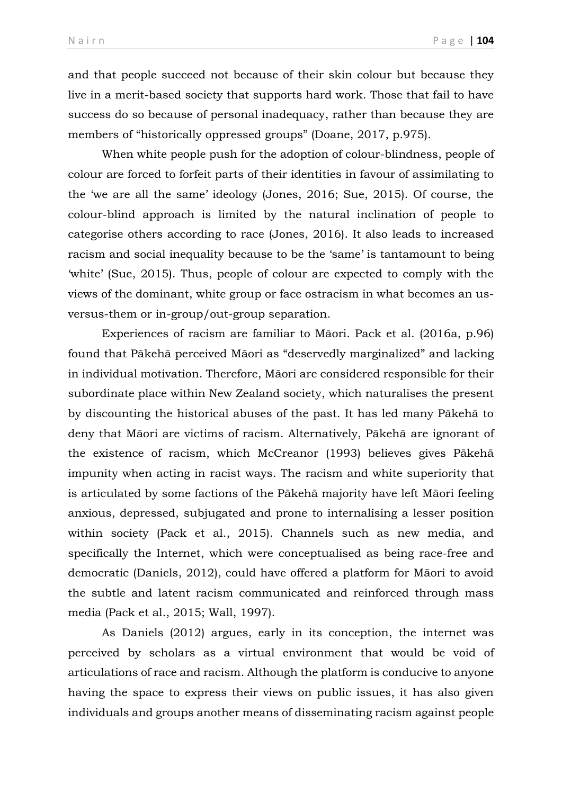and that people succeed not because of their skin colour but because they live in a merit-based society that supports hard work. Those that fail to have success do so because of personal inadequacy, rather than because they are members of "historically oppressed groups" (Doane, 2017, p.975).

When white people push for the adoption of colour-blindness, people of colour are forced to forfeit parts of their identities in favour of assimilating to the 'we are all the same' ideology (Jones, 2016; Sue, 2015). Of course, the colour-blind approach is limited by the natural inclination of people to categorise others according to race (Jones, 2016). It also leads to increased racism and social inequality because to be the 'same' is tantamount to being 'white' (Sue, 2015). Thus, people of colour are expected to comply with the views of the dominant, white group or face ostracism in what becomes an usversus-them or in-group/out-group separation.

Experiences of racism are familiar to Māori. Pack et al. (2016a, p.96) found that Pākehā perceived Māori as "deservedly marginalized" and lacking in individual motivation. Therefore, Māori are considered responsible for their subordinate place within New Zealand society, which naturalises the present by discounting the historical abuses of the past. It has led many Pākehā to deny that Māori are victims of racism. Alternatively, Pākehā are ignorant of the existence of racism, which McCreanor (1993) believes gives Pākehā impunity when acting in racist ways. The racism and white superiority that is articulated by some factions of the Pākehā majority have left Māori feeling anxious, depressed, subjugated and prone to internalising a lesser position within society (Pack et al., 2015). Channels such as new media, and specifically the Internet, which were conceptualised as being race-free and democratic (Daniels, 2012), could have offered a platform for Māori to avoid the subtle and latent racism communicated and reinforced through mass media (Pack et al., 2015; Wall, 1997).

As Daniels (2012) argues, early in its conception, the internet was perceived by scholars as a virtual environment that would be void of articulations of race and racism. Although the platform is conducive to anyone having the space to express their views on public issues, it has also given individuals and groups another means of disseminating racism against people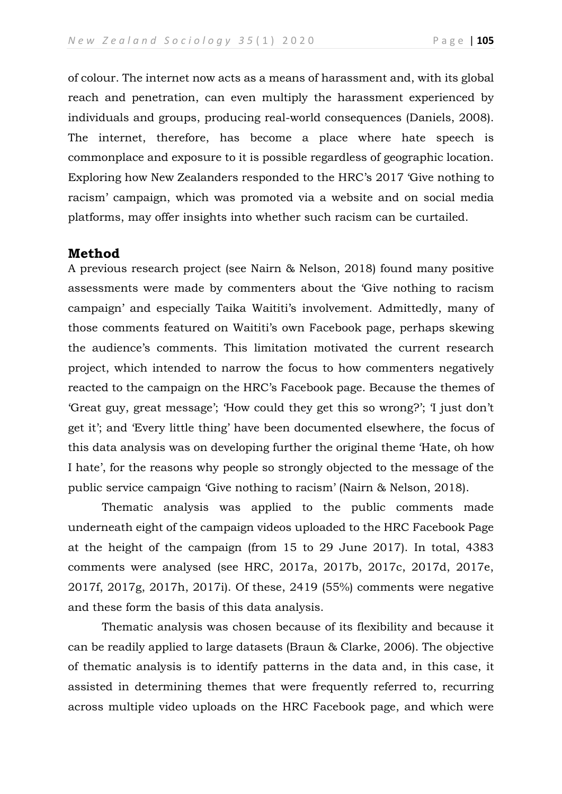of colour. The internet now acts as a means of harassment and, with its global reach and penetration, can even multiply the harassment experienced by individuals and groups, producing real-world consequences (Daniels, 2008). The internet, therefore, has become a place where hate speech is commonplace and exposure to it is possible regardless of geographic location. Exploring how New Zealanders responded to the HRC's 2017 'Give nothing to racism' campaign, which was promoted via a website and on social media platforms, may offer insights into whether such racism can be curtailed.

# **Method**

A previous research project (see Nairn & Nelson, 2018) found many positive assessments were made by commenters about the 'Give nothing to racism campaign' and especially Taika Waititi's involvement. Admittedly, many of those comments featured on Waititi's own Facebook page, perhaps skewing the audience's comments. This limitation motivated the current research project, which intended to narrow the focus to how commenters negatively reacted to the campaign on the HRC's Facebook page. Because the themes of 'Great guy, great message'; 'How could they get this so wrong?'; 'I just don't get it'; and 'Every little thing' have been documented elsewhere, the focus of this data analysis was on developing further the original theme 'Hate, oh how I hate', for the reasons why people so strongly objected to the message of the public service campaign 'Give nothing to racism' (Nairn & Nelson, 2018).

Thematic analysis was applied to the public comments made underneath eight of the campaign videos uploaded to the HRC Facebook Page at the height of the campaign (from 15 to 29 June 2017). In total, 4383 comments were analysed (see HRC, 2017a, 2017b, 2017c, 2017d, 2017e, 2017f, 2017g, 2017h, 2017i). Of these, 2419 (55%) comments were negative and these form the basis of this data analysis.

Thematic analysis was chosen because of its flexibility and because it can be readily applied to large datasets (Braun & Clarke, 2006). The objective of thematic analysis is to identify patterns in the data and, in this case, it assisted in determining themes that were frequently referred to, recurring across multiple video uploads on the HRC Facebook page, and which were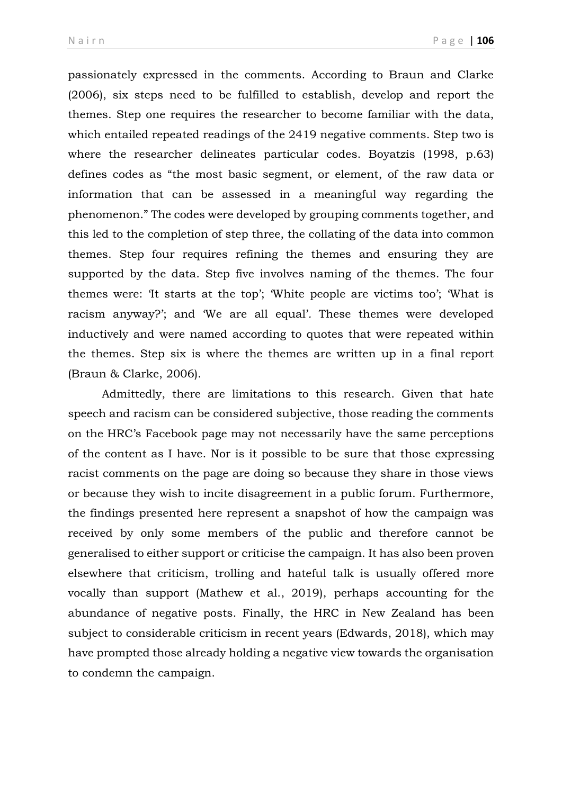passionately expressed in the comments. According to Braun and Clarke (2006), six steps need to be fulfilled to establish, develop and report the themes. Step one requires the researcher to become familiar with the data, which entailed repeated readings of the 2419 negative comments. Step two is where the researcher delineates particular codes. Boyatzis (1998, p.63) defines codes as "the most basic segment, or element, of the raw data or information that can be assessed in a meaningful way regarding the phenomenon." The codes were developed by grouping comments together, and this led to the completion of step three, the collating of the data into common themes. Step four requires refining the themes and ensuring they are supported by the data. Step five involves naming of the themes. The four themes were: 'It starts at the top'; 'White people are victims too'; 'What is racism anyway?'; and 'We are all equal'*.* These themes were developed inductively and were named according to quotes that were repeated within the themes. Step six is where the themes are written up in a final report (Braun & Clarke, 2006).

Admittedly, there are limitations to this research. Given that hate speech and racism can be considered subjective, those reading the comments on the HRC's Facebook page may not necessarily have the same perceptions of the content as I have. Nor is it possible to be sure that those expressing racist comments on the page are doing so because they share in those views or because they wish to incite disagreement in a public forum. Furthermore, the findings presented here represent a snapshot of how the campaign was received by only some members of the public and therefore cannot be generalised to either support or criticise the campaign. It has also been proven elsewhere that criticism, trolling and hateful talk is usually offered more vocally than support (Mathew et al., 2019), perhaps accounting for the abundance of negative posts. Finally, the HRC in New Zealand has been subject to considerable criticism in recent years (Edwards, 2018), which may have prompted those already holding a negative view towards the organisation to condemn the campaign.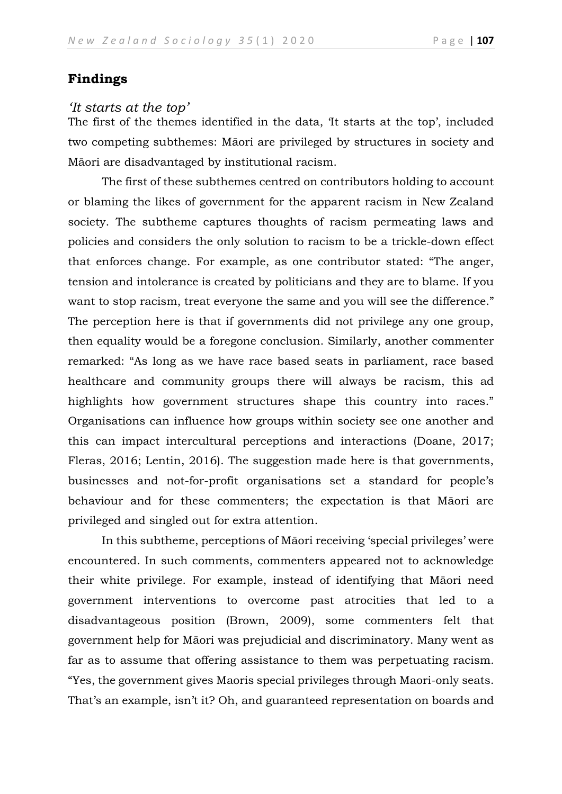# **Findings**

#### *'It starts at the top'*

The first of the themes identified in the data, 'It starts at the top', included two competing subthemes: Māori are privileged by structures in society and Māori are disadvantaged by institutional racism.

The first of these subthemes centred on contributors holding to account or blaming the likes of government for the apparent racism in New Zealand society. The subtheme captures thoughts of racism permeating laws and policies and considers the only solution to racism to be a trickle-down effect that enforces change. For example, as one contributor stated: "The anger, tension and intolerance is created by politicians and they are to blame. If you want to stop racism, treat everyone the same and you will see the difference." The perception here is that if governments did not privilege any one group, then equality would be a foregone conclusion. Similarly, another commenter remarked: "As long as we have race based seats in parliament, race based healthcare and community groups there will always be racism, this ad highlights how government structures shape this country into races." Organisations can influence how groups within society see one another and this can impact intercultural perceptions and interactions (Doane, 2017; Fleras, 2016; Lentin, 2016). The suggestion made here is that governments, businesses and not-for-profit organisations set a standard for people's behaviour and for these commenters; the expectation is that Māori are privileged and singled out for extra attention.

In this subtheme, perceptions of Māori receiving 'special privileges' were encountered. In such comments, commenters appeared not to acknowledge their white privilege. For example, instead of identifying that Māori need government interventions to overcome past atrocities that led to a disadvantageous position (Brown, 2009), some commenters felt that government help for Māori was prejudicial and discriminatory. Many went as far as to assume that offering assistance to them was perpetuating racism*.* "Yes, the government gives Maoris special privileges through Maori-only seats. That's an example, isn't it? Oh, and guaranteed representation on boards and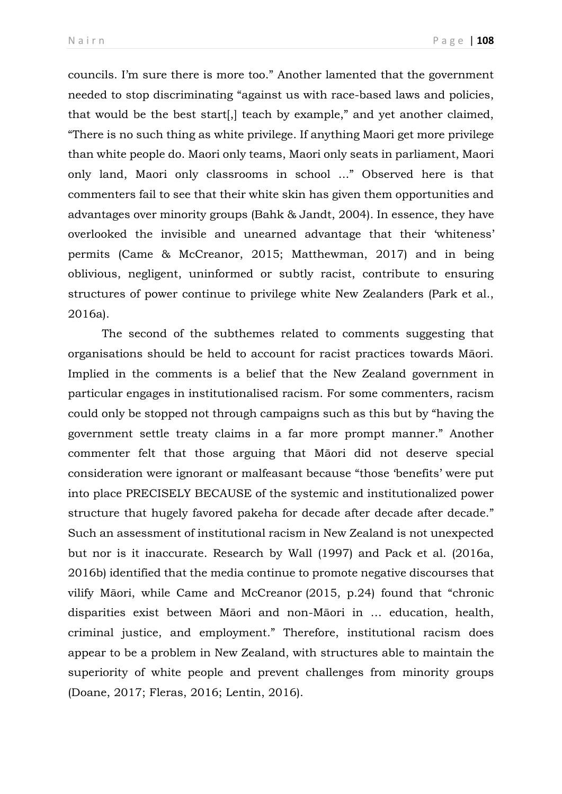councils. I'm sure there is more too." Another lamented that the government needed to stop discriminating "against us with race-based laws and policies, that would be the best start[,] teach by example," and yet another claimed, "There is no such thing as white privilege. If anything Maori get more privilege than white people do. Maori only teams, Maori only seats in parliament, Maori only land, Maori only classrooms in school ..." Observed here is that commenters fail to see that their white skin has given them opportunities and advantages over minority groups (Bahk & Jandt, 2004). In essence, they have overlooked the invisible and unearned advantage that their 'whiteness' permits (Came & McCreanor, 2015; Matthewman, 2017) and in being oblivious, negligent, uninformed or subtly racist, contribute to ensuring structures of power continue to privilege white New Zealanders (Park et al., 2016a).

The second of the subthemes related to comments suggesting that organisations should be held to account for racist practices towards Māori. Implied in the comments is a belief that the New Zealand government in particular engages in institutionalised racism. For some commenters, racism could only be stopped not through campaigns such as this but by "having the government settle treaty claims in a far more prompt manner." Another commenter felt that those arguing that Māori did not deserve special consideration were ignorant or malfeasant because "those 'benefits' were put into place PRECISELY BECAUSE of the systemic and institutionalized power structure that hugely favored pakeha for decade after decade after decade." Such an assessment of institutional racism in New Zealand is not unexpected but nor is it inaccurate. Research by Wall (1997) and Pack et al. (2016a, 2016b) identified that the media continue to promote negative discourses that vilify Māori, while Came and McCreanor (2015, p.24) found that "chronic disparities exist between Māori and non-Māori in … education, health, criminal justice, and employment." Therefore, institutional racism does appear to be a problem in New Zealand, with structures able to maintain the superiority of white people and prevent challenges from minority groups (Doane, 2017; Fleras, 2016; Lentin, 2016).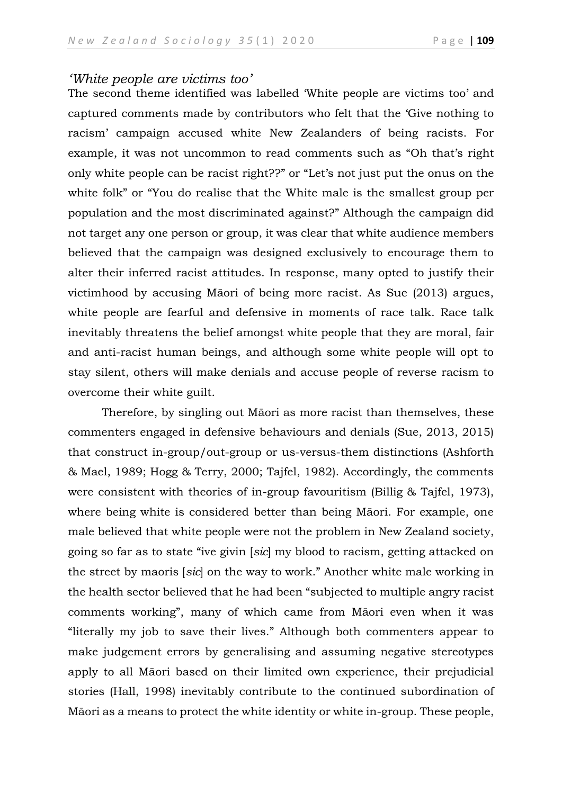## *'White people are victims too'*

The second theme identified was labelled 'White people are victims too' and captured comments made by contributors who felt that the 'Give nothing to racism' campaign accused white New Zealanders of being racists. For example, it was not uncommon to read comments such as "Oh that's right only white people can be racist right??" or "Let's not just put the onus on the white folk" or "You do realise that the White male is the smallest group per population and the most discriminated against?" Although the campaign did not target any one person or group, it was clear that white audience members believed that the campaign was designed exclusively to encourage them to alter their inferred racist attitudes. In response, many opted to justify their victimhood by accusing Māori of being more racist. As Sue (2013) argues, white people are fearful and defensive in moments of race talk. Race talk inevitably threatens the belief amongst white people that they are moral, fair and anti-racist human beings, and although some white people will opt to stay silent, others will make denials and accuse people of reverse racism to overcome their white guilt.

Therefore, by singling out Māori as more racist than themselves, these commenters engaged in defensive behaviours and denials (Sue, 2013, 2015) that construct in-group/out-group or us-versus-them distinctions (Ashforth & Mael, 1989; Hogg & Terry, 2000; Tajfel, 1982). Accordingly, the comments were consistent with theories of in-group favouritism (Billig & Tajfel, 1973), where being white is considered better than being Māori. For example, one male believed that white people were not the problem in New Zealand society, going so far as to state "ive givin [*sic*] my blood to racism, getting attacked on the street by maoris [*sic*] on the way to work." Another white male working in the health sector believed that he had been "subjected to multiple angry racist comments working", many of which came from Māori even when it was "literally my job to save their lives." Although both commenters appear to make judgement errors by generalising and assuming negative stereotypes apply to all Māori based on their limited own experience, their prejudicial stories (Hall, 1998) inevitably contribute to the continued subordination of Māori as a means to protect the white identity or white in-group. These people,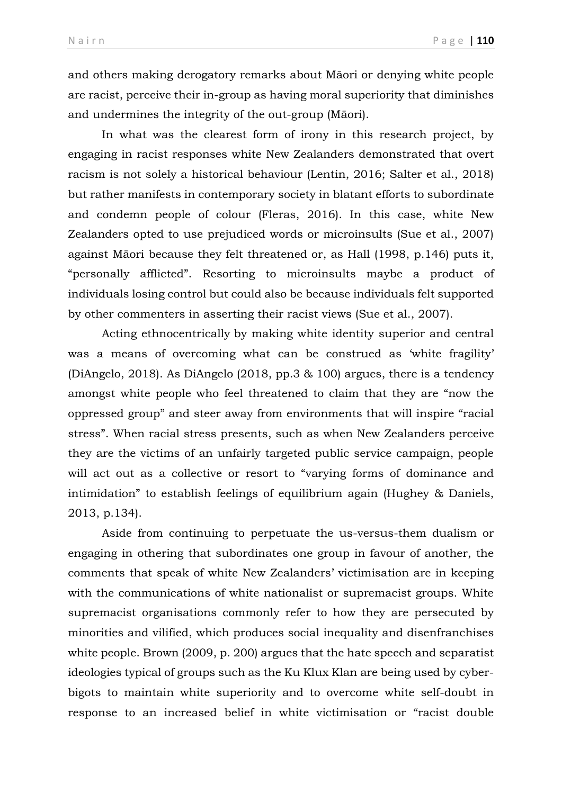and others making derogatory remarks about Māori or denying white people are racist, perceive their in-group as having moral superiority that diminishes and undermines the integrity of the out-group (Māori).

In what was the clearest form of irony in this research project, by engaging in racist responses white New Zealanders demonstrated that overt racism is not solely a historical behaviour (Lentin, 2016; Salter et al., 2018) but rather manifests in contemporary society in blatant efforts to subordinate and condemn people of colour (Fleras, 2016). In this case, white New Zealanders opted to use prejudiced words or microinsults (Sue et al., 2007) against Māori because they felt threatened or, as Hall (1998, p.146) puts it, "personally afflicted". Resorting to microinsults maybe a product of individuals losing control but could also be because individuals felt supported by other commenters in asserting their racist views (Sue et al., 2007).

Acting ethnocentrically by making white identity superior and central was a means of overcoming what can be construed as 'white fragility' (DiAngelo, 2018). As DiAngelo (2018, pp.3 & 100) argues, there is a tendency amongst white people who feel threatened to claim that they are "now the oppressed group" and steer away from environments that will inspire "racial stress". When racial stress presents, such as when New Zealanders perceive they are the victims of an unfairly targeted public service campaign, people will act out as a collective or resort to "varying forms of dominance and intimidation" to establish feelings of equilibrium again (Hughey & Daniels, 2013, p.134).

Aside from continuing to perpetuate the us-versus-them dualism or engaging in othering that subordinates one group in favour of another, the comments that speak of white New Zealanders' victimisation are in keeping with the communications of white nationalist or supremacist groups. White supremacist organisations commonly refer to how they are persecuted by minorities and vilified, which produces social inequality and disenfranchises white people. Brown (2009, p. 200) argues that the hate speech and separatist ideologies typical of groups such as the Ku Klux Klan are being used by cyberbigots to maintain white superiority and to overcome white self-doubt in response to an increased belief in white victimisation or "racist double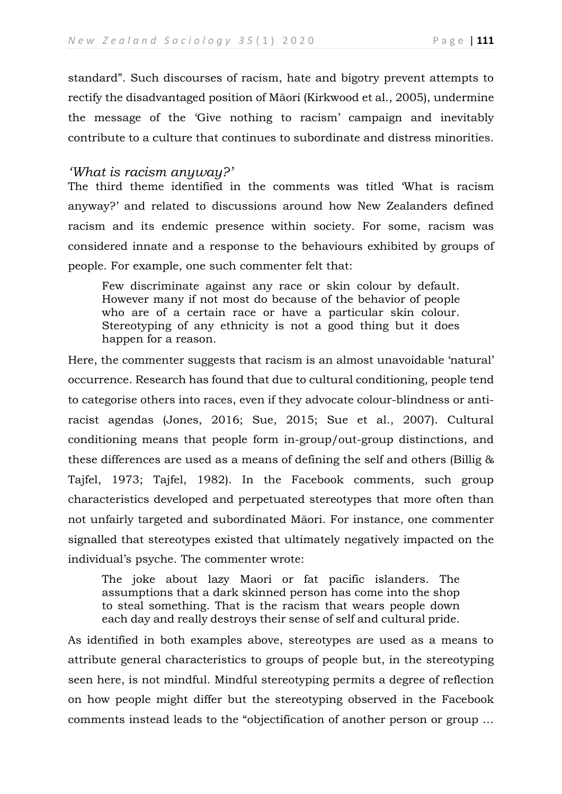standard". Such discourses of racism, hate and bigotry prevent attempts to rectify the disadvantaged position of Māori (Kirkwood et al., 2005), undermine the message of the 'Give nothing to racism' campaign and inevitably contribute to a culture that continues to subordinate and distress minorities.

## *'What is racism anyway?'*

The third theme identified in the comments was titled 'What is racism anyway?' and related to discussions around how New Zealanders defined racism and its endemic presence within society. For some, racism was considered innate and a response to the behaviours exhibited by groups of people. For example, one such commenter felt that:

Few discriminate against any race or skin colour by default. However many if not most do because of the behavior of people who are of a certain race or have a particular skin colour. Stereotyping of any ethnicity is not a good thing but it does happen for a reason.

Here, the commenter suggests that racism is an almost unavoidable 'natural' occurrence. Research has found that due to cultural conditioning, people tend to categorise others into races, even if they advocate colour-blindness or antiracist agendas (Jones, 2016; Sue, 2015; Sue et al., 2007). Cultural conditioning means that people form in-group/out-group distinctions, and these differences are used as a means of defining the self and others (Billig & Tajfel, 1973; Tajfel, 1982). In the Facebook comments, such group characteristics developed and perpetuated stereotypes that more often than not unfairly targeted and subordinated Māori. For instance, one commenter signalled that stereotypes existed that ultimately negatively impacted on the individual's psyche. The commenter wrote:

The joke about lazy Maori or fat pacific islanders. The assumptions that a dark skinned person has come into the shop to steal something. That is the racism that wears people down each day and really destroys their sense of self and cultural pride.

As identified in both examples above, stereotypes are used as a means to attribute general characteristics to groups of people but, in the stereotyping seen here, is not mindful. Mindful stereotyping permits a degree of reflection on how people might differ but the stereotyping observed in the Facebook comments instead leads to the "objectification of another person or group …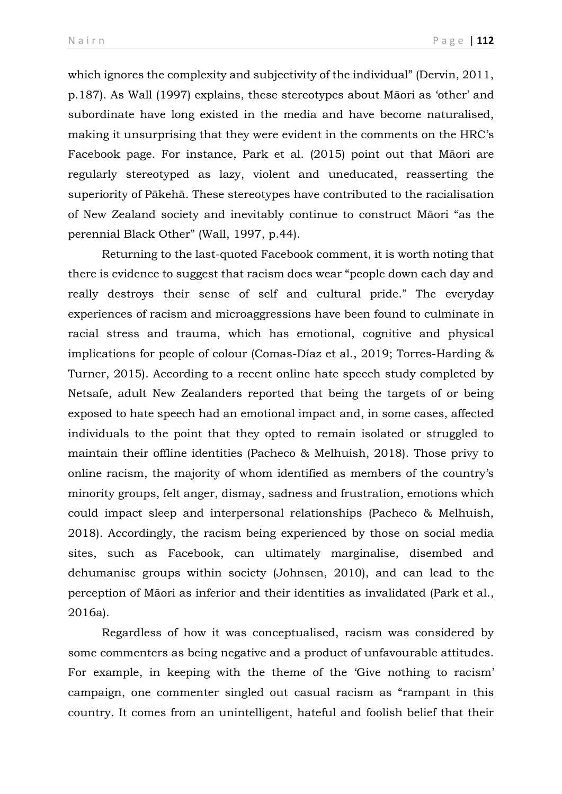which ignores the complexity and subjectivity of the individual" (Dervin, 2011, p.187). As Wall (1997) explains, these stereotypes about Māori as 'other' and subordinate have long existed in the media and have become naturalised, making it unsurprising that they were evident in the comments on the HRC's Facebook page. For instance, Park et al. (2015) point out that Māori are regularly stereotyped as lazy, violent and uneducated, reasserting the superiority of Pākehā. These stereotypes have contributed to the racialisation of New Zealand society and inevitably continue to construct Māori "as the perennial Black Other" (Wall, 1997, p.44).

Returning to the last-quoted Facebook comment, it is worth noting that there is evidence to suggest that racism does wear "people down each day and really destroys their sense of self and cultural pride." The everyday experiences of racism and microaggressions have been found to culminate in racial stress and trauma, which has emotional, cognitive and physical implications for people of colour (Comas-Díaz et al., 2019; Torres-Harding & Turner, 2015). According to a recent online hate speech study completed by Netsafe, adult New Zealanders reported that being the targets of or being exposed to hate speech had an emotional impact and, in some cases, affected individuals to the point that they opted to remain isolated or struggled to maintain their offline identities (Pacheco & Melhuish, 2018). Those privy to online racism, the majority of whom identified as members of the country's minority groups, felt anger, dismay, sadness and frustration, emotions which could impact sleep and interpersonal relationships (Pacheco & Melhuish, 2018). Accordingly, the racism being experienced by those on social media sites, such as Facebook, can ultimately marginalise, disembed and dehumanise groups within society (Johnsen, 2010), and can lead to the perception of Māori as inferior and their identities as invalidated (Park et al., 2016a).

Regardless of how it was conceptualised, racism was considered by some commenters as being negative and a product of unfavourable attitudes. For example, in keeping with the theme of the 'Give nothing to racism' campaign, one commenter singled out casual racism as "rampant in this country. It comes from an unintelligent, hateful and foolish belief that their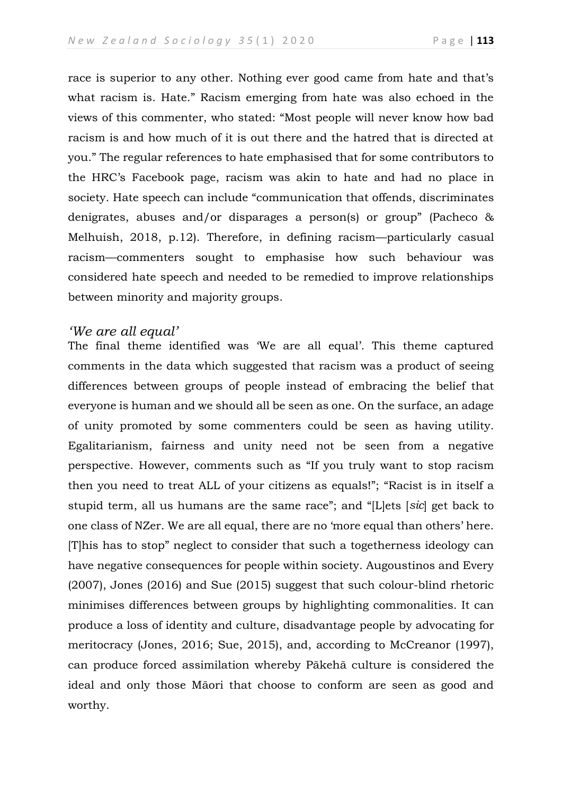race is superior to any other. Nothing ever good came from hate and that's what racism is. Hate." Racism emerging from hate was also echoed in the views of this commenter, who stated: "Most people will never know how bad racism is and how much of it is out there and the hatred that is directed at you." The regular references to hate emphasised that for some contributors to the HRC's Facebook page, racism was akin to hate and had no place in society. Hate speech can include "communication that offends, discriminates denigrates, abuses and/or disparages a person(s) or group" (Pacheco & Melhuish, 2018, p.12). Therefore, in defining racism—particularly casual racism—commenters sought to emphasise how such behaviour was considered hate speech and needed to be remedied to improve relationships between minority and majority groups.

### *'We are all equal'*

The final theme identified was 'We are all equal'*.* This theme captured comments in the data which suggested that racism was a product of seeing differences between groups of people instead of embracing the belief that everyone is human and we should all be seen as one. On the surface, an adage of unity promoted by some commenters could be seen as having utility. Egalitarianism, fairness and unity need not be seen from a negative perspective. However, comments such as "If you truly want to stop racism then you need to treat ALL of your citizens as equals!"; "Racist is in itself a stupid term, all us humans are the same race"; and "[L]ets [*sic*] get back to one class of NZer. We are all equal, there are no 'more equal than others' here. [T]his has to stop" neglect to consider that such a togetherness ideology can have negative consequences for people within society. Augoustinos and Every (2007), Jones (2016) and Sue (2015) suggest that such colour-blind rhetoric minimises differences between groups by highlighting commonalities. It can produce a loss of identity and culture, disadvantage people by advocating for meritocracy (Jones, 2016; Sue, 2015), and, according to McCreanor (1997), can produce forced assimilation whereby Pākehā culture is considered the ideal and only those Māori that choose to conform are seen as good and worthy.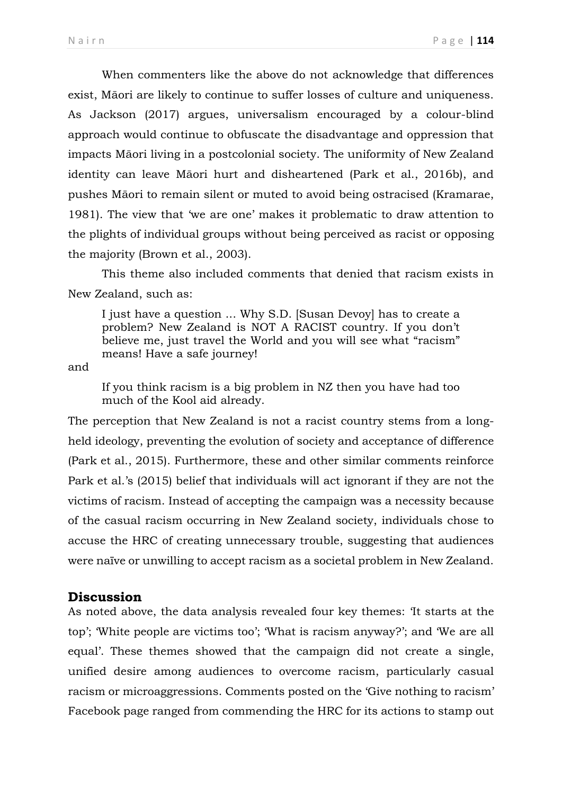When commenters like the above do not acknowledge that differences exist, Māori are likely to continue to suffer losses of culture and uniqueness. As Jackson (2017) argues, universalism encouraged by a colour-blind approach would continue to obfuscate the disadvantage and oppression that impacts Māori living in a postcolonial society. The uniformity of New Zealand identity can leave Māori hurt and disheartened (Park et al., 2016b), and pushes Māori to remain silent or muted to avoid being ostracised (Kramarae, 1981). The view that 'we are one' makes it problematic to draw attention to the plights of individual groups without being perceived as racist or opposing the majority (Brown et al., 2003).

This theme also included comments that denied that racism exists in New Zealand, such as:

I just have a question ... Why S.D. [Susan Devoy] has to create a problem? New Zealand is NOT A RACIST country. If you don't believe me, just travel the World and you will see what "racism" means! Have a safe journey!

and

If you think racism is a big problem in NZ then you have had too much of the Kool aid already.

The perception that New Zealand is not a racist country stems from a longheld ideology, preventing the evolution of society and acceptance of difference (Park et al., 2015). Furthermore, these and other similar comments reinforce Park et al.'s (2015) belief that individuals will act ignorant if they are not the victims of racism. Instead of accepting the campaign was a necessity because of the casual racism occurring in New Zealand society, individuals chose to accuse the HRC of creating unnecessary trouble, suggesting that audiences were naïve or unwilling to accept racism as a societal problem in New Zealand.

# **Discussion**

As noted above, the data analysis revealed four key themes: 'It starts at the top'; 'White people are victims too'; 'What is racism anyway?'; and 'We are all equal'. These themes showed that the campaign did not create a single, unified desire among audiences to overcome racism, particularly casual racism or microaggressions. Comments posted on the 'Give nothing to racism' Facebook page ranged from commending the HRC for its actions to stamp out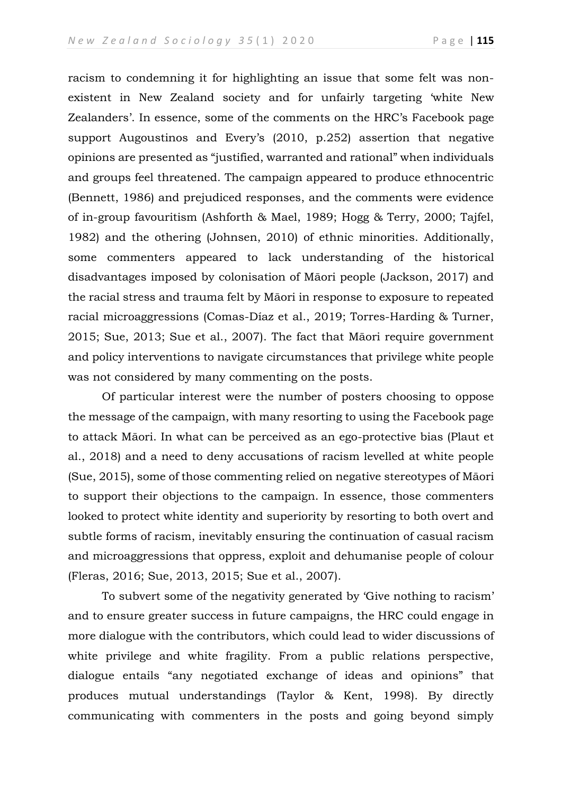racism to condemning it for highlighting an issue that some felt was nonexistent in New Zealand society and for unfairly targeting 'white New Zealanders'. In essence, some of the comments on the HRC's Facebook page support Augoustinos and Every's (2010, p.252) assertion that negative opinions are presented as "justified, warranted and rational" when individuals and groups feel threatened. The campaign appeared to produce ethnocentric (Bennett, 1986) and prejudiced responses, and the comments were evidence of in-group favouritism (Ashforth & Mael, 1989; Hogg & Terry, 2000; Tajfel, 1982) and the othering (Johnsen, 2010) of ethnic minorities. Additionally, some commenters appeared to lack understanding of the historical disadvantages imposed by colonisation of Māori people (Jackson, 2017) and the racial stress and trauma felt by Māori in response to exposure to repeated racial microaggressions (Comas-Díaz et al., 2019; Torres-Harding & Turner, 2015; Sue, 2013; Sue et al., 2007). The fact that Māori require government and policy interventions to navigate circumstances that privilege white people was not considered by many commenting on the posts.

Of particular interest were the number of posters choosing to oppose the message of the campaign, with many resorting to using the Facebook page to attack Māori. In what can be perceived as an ego-protective bias (Plaut et al., 2018) and a need to deny accusations of racism levelled at white people (Sue, 2015), some of those commenting relied on negative stereotypes of Māori to support their objections to the campaign. In essence, those commenters looked to protect white identity and superiority by resorting to both overt and subtle forms of racism, inevitably ensuring the continuation of casual racism and microaggressions that oppress, exploit and dehumanise people of colour (Fleras, 2016; Sue, 2013, 2015; Sue et al., 2007).

To subvert some of the negativity generated by 'Give nothing to racism' and to ensure greater success in future campaigns, the HRC could engage in more dialogue with the contributors, which could lead to wider discussions of white privilege and white fragility. From a public relations perspective, dialogue entails "any negotiated exchange of ideas and opinions" that produces mutual understandings (Taylor & Kent, 1998). By directly communicating with commenters in the posts and going beyond simply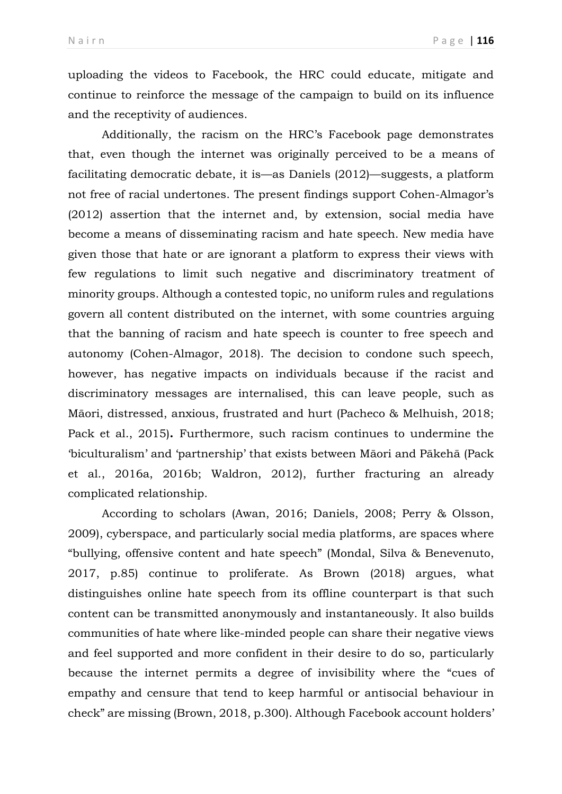uploading the videos to Facebook, the HRC could educate, mitigate and continue to reinforce the message of the campaign to build on its influence and the receptivity of audiences.

Additionally, the racism on the HRC's Facebook page demonstrates that, even though the internet was originally perceived to be a means of facilitating democratic debate, it is—as Daniels (2012)—suggests, a platform not free of racial undertones. The present findings support Cohen-Almagor's (2012) assertion that the internet and, by extension, social media have become a means of disseminating racism and hate speech. New media have given those that hate or are ignorant a platform to express their views with few regulations to limit such negative and discriminatory treatment of minority groups. Although a contested topic, no uniform rules and regulations govern all content distributed on the internet, with some countries arguing that the banning of racism and hate speech is counter to free speech and autonomy (Cohen-Almagor, 2018). The decision to condone such speech, however, has negative impacts on individuals because if the racist and discriminatory messages are internalised, this can leave people, such as Māori, distressed, anxious, frustrated and hurt (Pacheco & Melhuish, 2018; Pack et al., 2015)**.** Furthermore, such racism continues to undermine the 'biculturalism' and 'partnership' that exists between Māori and Pākehā (Pack et al., 2016a, 2016b; Waldron, 2012), further fracturing an already complicated relationship.

According to scholars (Awan, 2016; Daniels, 2008; Perry & Olsson, 2009), cyberspace, and particularly social media platforms, are spaces where "bullying, offensive content and hate speech" (Mondal, Silva & Benevenuto, 2017, p.85) continue to proliferate. As Brown (2018) argues, what distinguishes online hate speech from its offline counterpart is that such content can be transmitted anonymously and instantaneously. It also builds communities of hate where like-minded people can share their negative views and feel supported and more confident in their desire to do so, particularly because the internet permits a degree of invisibility where the "cues of empathy and censure that tend to keep harmful or antisocial behaviour in check" are missing (Brown, 2018, p.300). Although Facebook account holders'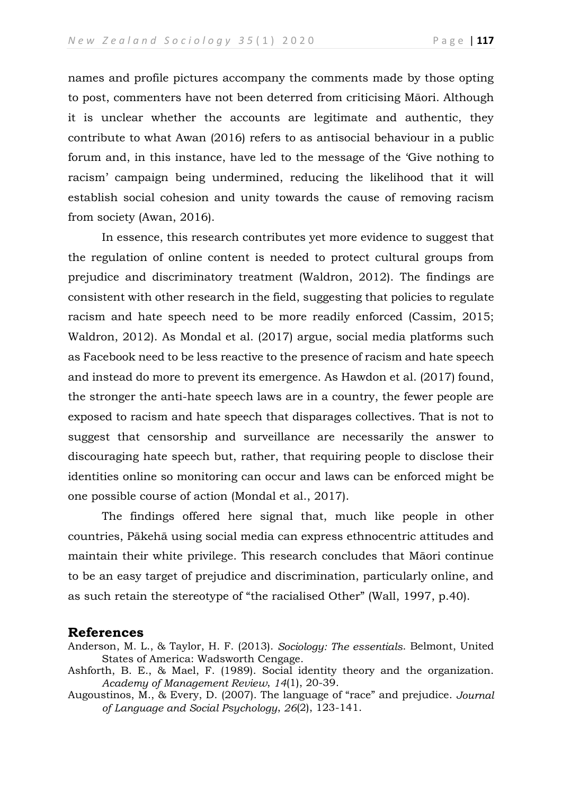names and profile pictures accompany the comments made by those opting to post, commenters have not been deterred from criticising Māori. Although it is unclear whether the accounts are legitimate and authentic, they contribute to what Awan (2016) refers to as antisocial behaviour in a public forum and, in this instance, have led to the message of the 'Give nothing to racism' campaign being undermined, reducing the likelihood that it will establish social cohesion and unity towards the cause of removing racism from society (Awan, 2016).

In essence, this research contributes yet more evidence to suggest that the regulation of online content is needed to protect cultural groups from prejudice and discriminatory treatment (Waldron, 2012). The findings are consistent with other research in the field, suggesting that policies to regulate racism and hate speech need to be more readily enforced (Cassim, 2015; Waldron, 2012). As Mondal et al. (2017) argue, social media platforms such as Facebook need to be less reactive to the presence of racism and hate speech and instead do more to prevent its emergence. As Hawdon et al. (2017) found, the stronger the anti-hate speech laws are in a country, the fewer people are exposed to racism and hate speech that disparages collectives. That is not to suggest that censorship and surveillance are necessarily the answer to discouraging hate speech but, rather, that requiring people to disclose their identities online so monitoring can occur and laws can be enforced might be one possible course of action (Mondal et al., 2017).

The findings offered here signal that, much like people in other countries, Pākehā using social media can express ethnocentric attitudes and maintain their white privilege. This research concludes that Māori continue to be an easy target of prejudice and discrimination, particularly online, and as such retain the stereotype of "the racialised Other" (Wall, 1997, p.40).

### **References**

- Anderson, M. L., & Taylor, H. F. (2013). *Sociology: The essentials*. Belmont, United States of America: Wadsworth Cengage.
- Ashforth, B. E., & Mael, F. (1989). Social identity theory and the organization. *Academy of Management Review*, *14*(1), 20-39.
- Augoustinos, M., & Every, D. (2007). The language of "race" and prejudice. *Journal of Language and Social Psychology*, *26*(2), 123-141.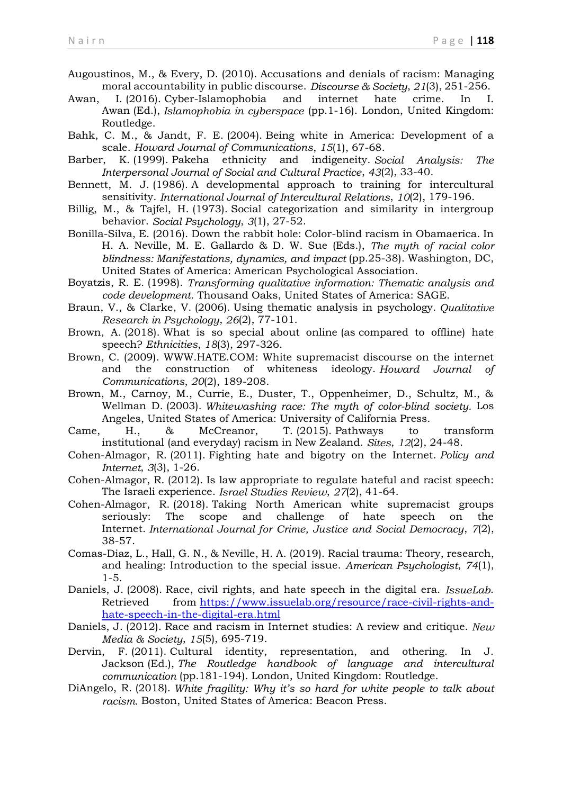Augoustinos, M., & Every, D. (2010). Accusations and denials of racism: Managing moral accountability in public discourse. *Discourse & Society*, *21*(3), 251-256.

Awan, I. (2016). Cyber-Islamophobia and internet hate crime. In I. Awan (Ed.), *Islamophobia in cyberspace* (pp.1-16). London, United Kingdom: Routledge.

Bahk, C. M., & Jandt, F. E. (2004). Being white in America: Development of a scale. *Howard Journal of Communications*, *15*(1), 67-68.

Barber, K. (1999). Pakeha ethnicity and indigeneity. *Social Analysis: The Interpersonal Journal of Social and Cultural Practice*, *43*(2), 33-40.

Bennett, M. J. (1986). A developmental approach to training for intercultural sensitivity. *International Journal of Intercultural Relations*, *10*(2), 179-196.

Billig, M., & Tajfel, H. (1973). Social categorization and similarity in intergroup behavior. *Social Psychology*, *3*(1), 27-52.

Bonilla-Silva, E. (2016). Down the rabbit hole: Color-blind racism in Obamaerica. In H. A. Neville, M. E. Gallardo & D. W. Sue (Eds.), *The myth of racial color blindness: Manifestations, dynamics, and impact* (pp.25-38). Washington, DC, United States of America: American Psychological Association.

Boyatzis, R. E. (1998). *Transforming qualitative information: Thematic analysis and code development*. Thousand Oaks, United States of America: SAGE.

Braun, V., & Clarke, V. (2006). Using thematic analysis in psychology. *Qualitative Research in Psychology*, *26*(2), 77-101.

Brown, A. (2018). What is so special about online (as compared to offline) hate speech? *Ethnicities*, *18*(3), 297-326.

Brown, C. (2009). WWW.HATE.COM: White supremacist discourse on the internet and the construction of whiteness ideology. *Howard Journal of Communications*, *20*(2), 189-208.

Brown, M., Carnoy, M., Currie, E., Duster, T., Oppenheimer, D., Schultz, M., & Wellman D. (2003). *Whitewashing race: The myth of color-blind society.* Los Angeles, United States of America: University of California Press.

Came, H., & McCreanor, T. (2015). Pathways to transform institutional (and everyday) racism in New Zealand. *Sites*, *12*(2), 24-48.

Cohen-Almagor, R. (2011). Fighting hate and bigotry on the Internet. *Policy and Internet*, *3*(3), 1-26.

Cohen-Almagor, R. (2012). Is law appropriate to regulate hateful and racist speech: The Israeli experience. *Israel Studies Review*, *27*(2), 41-64.

Cohen-Almagor, R. (2018). Taking North American white supremacist groups seriously: The scope and challenge of hate speech on the Internet. *International Journal for Crime, Justice and Social Democracy*, *7*(2), 38-57.

Comas-Diaz, L., Hall, G. N., & Neville, H. A. (2019). Racial trauma: Theory, research, and healing: Introduction to the special issue. *American Psychologist*, *74*(1), 1-5.

Daniels, J. (2008). Race, civil rights, and hate speech in the digital era. *IssueLab*. Retrieved from [https://www.issuelab.org/resource/race-civil-rights-and](https://www.issuelab.org/resource/race-civil-rights-and-hate-speech-in-the-digital-era.html)[hate-speech-in-the-digital-era.html](https://www.issuelab.org/resource/race-civil-rights-and-hate-speech-in-the-digital-era.html)

Daniels, J. (2012). Race and racism in Internet studies: A review and critique. *New Media & Society*, *15*(5), 695-719.

Dervin, F. (2011). Cultural identity, representation, and othering. In J. Jackson (Ed.), *The Routledge handbook of language and intercultural communication* (pp.181-194). London, United Kingdom: Routledge.

DiAngelo, R. (2018). *White fragility: Why it's so hard for white people to talk about racism.* Boston, United States of America: Beacon Press.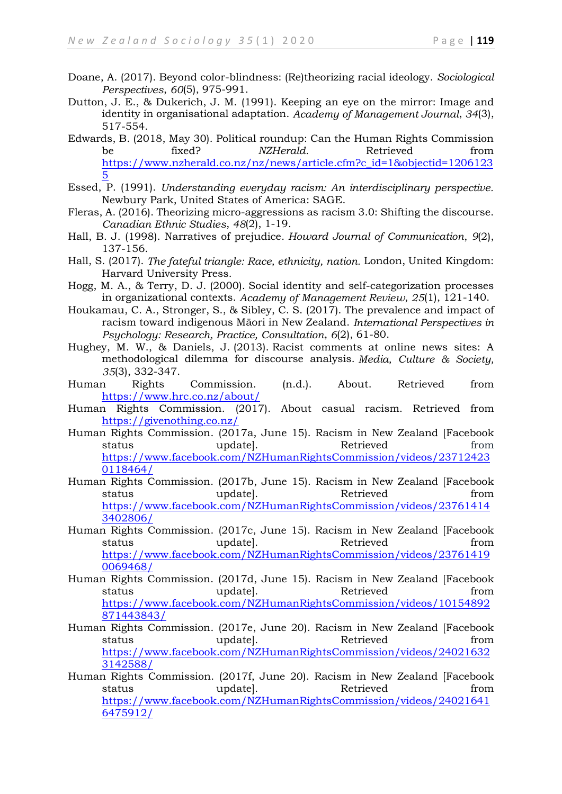- Doane, A. (2017). Beyond color-blindness: (Re)theorizing racial ideology. *Sociological Perspectives*, *60*(5), 975-991.
- Dutton, J. E., & Dukerich, J. M. (1991). Keeping an eye on the mirror: Image and identity in organisational adaptation. *Academy of Management Journal*, *34*(3), 517-554.
- Edwards, B. (2018, May 30). Political roundup: Can the Human Rights Commission be fixed? *NZHerald.* Retrieved from [https://www.nzherald.co.nz/nz/news/article.cfm?c\\_id=1&objectid=1206123](https://www.nzherald.co.nz/nz/news/article.cfm?c_id=1&objectid=12061235) [5](https://www.nzherald.co.nz/nz/news/article.cfm?c_id=1&objectid=12061235)
- Essed, P. (1991). *Understanding everyday racism: An interdisciplinary perspective.*  Newbury Park, United States of America: SAGE.
- Fleras, A. (2016). Theorizing micro-aggressions as racism 3.0: Shifting the discourse. *Canadian Ethnic Studies*, *48*(2), 1-19.
- Hall, B. J. (1998). Narratives of prejudice. *Howard Journal of Communication*, *9*(2), 137-156.
- Hall, S. (2017). *The fateful triangle: Race, ethnicity, nation.* London, United Kingdom: Harvard University Press.
- Hogg, M. A., & Terry, D. J. (2000). Social identity and self-categorization processes in organizational contexts. *Academy of Management Review*, *25*(1), 121-140.
- Houkamau, C. A., Stronger, S., & Sibley, C. S. (2017). The prevalence and impact of racism toward indigenous Māori in New Zealand. *International Perspectives in Psychology: Research, Practice, Consultation*, *6*(2), 61-80.
- Hughey, M. W., & Daniels, J. (2013). Racist comments at online news sites: A methodological dilemma for discourse analysis. *Media, Culture & Society, 35*(3), 332-347.
- Human Rights Commission. (n.d.). About. Retrieved from <https://www.hrc.co.nz/about/>
- Human Rights Commission. (2017). About casual racism. Retrieved from <https://givenothing.co.nz/>
- Human Rights Commission. (2017a, June 15). Racism in New Zealand [Facebook status updatel. Retrieved from [https://www.facebook.com/NZHumanRightsCommission/videos/23712423](https://www.facebook.com/NZHumanRightsCommission/videos/237124230118464/) [0118464/](https://www.facebook.com/NZHumanRightsCommission/videos/237124230118464/)
- Human Rights Commission. (2017b, June 15). Racism in New Zealand [Facebook status updatel. Retrieved from [https://www.facebook.com/NZHumanRightsCommission/videos/23761414](https://www.facebook.com/NZHumanRightsCommission/videos/237614143402806/) [3402806/](https://www.facebook.com/NZHumanRightsCommission/videos/237614143402806/)
- Human Rights Commission. (2017c, June 15). Racism in New Zealand [Facebook status **being updatel**. Retrieved **from** [https://www.facebook.com/NZHumanRightsCommission/videos/23761419](https://www.facebook.com/NZHumanRightsCommission/videos/237614190069468/) [0069468/](https://www.facebook.com/NZHumanRightsCommission/videos/237614190069468/)
- Human Rights Commission. (2017d, June 15). Racism in New Zealand [Facebook status update. When the extraction of the status from the update. [https://www.facebook.com/NZHumanRightsCommission/videos/10154892](https://www.facebook.com/NZHumanRightsCommission/videos/10154892871443843/) [871443843/](https://www.facebook.com/NZHumanRightsCommission/videos/10154892871443843/)
- Human Rights Commission. (2017e, June 20). Racism in New Zealand [Facebook status updatel. Retrieved from [https://www.facebook.com/NZHumanRightsCommission/videos/24021632](https://www.facebook.com/NZHumanRightsCommission/videos/240216323142588/) [3142588/](https://www.facebook.com/NZHumanRightsCommission/videos/240216323142588/)
- Human Rights Commission. (2017f, June 20). Racism in New Zealand [Facebook status **being updatel**. Retrieved **from** [https://www.facebook.com/NZHumanRightsCommission/videos/24021641](https://www.facebook.com/NZHumanRightsCommission/videos/240216416475912/) [6475912/](https://www.facebook.com/NZHumanRightsCommission/videos/240216416475912/)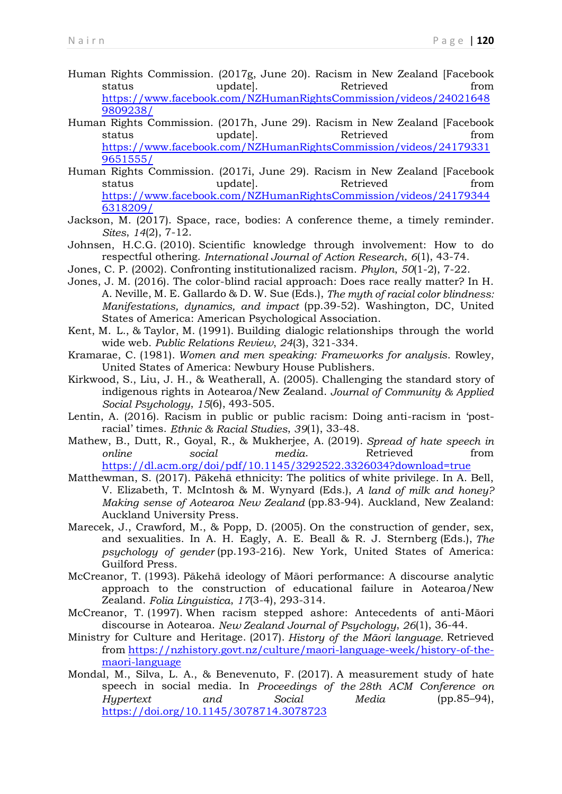- Human Rights Commission. (2017g, June 20). Racism in New Zealand [Facebook status update]. Retrieved from [https://www.facebook.com/NZHumanRightsCommission/videos/24021648](https://www.facebook.com/NZHumanRightsCommission/videos/240216489809238/) [9809238/](https://www.facebook.com/NZHumanRightsCommission/videos/240216489809238/)
- Human Rights Commission. (2017h, June 29). Racism in New Zealand [Facebook status updatel. Retrieved from [https://www.facebook.com/NZHumanRightsCommission/videos/24179331](https://www.facebook.com/NZHumanRightsCommission/videos/241793319651555/) [9651555/](https://www.facebook.com/NZHumanRightsCommission/videos/241793319651555/)
- Human Rights Commission. (2017i, June 29). Racism in New Zealand [Facebook status updatel. Retrieved from [https://www.facebook.com/NZHumanRightsCommission/videos/24179344](https://www.facebook.com/NZHumanRightsCommission/videos/241793446318209/) [6318209/](https://www.facebook.com/NZHumanRightsCommission/videos/241793446318209/)
- Jackson, M. (2017). Space, race, bodies: A conference theme, a timely reminder. *Sites*, *14*(2), 7-12.
- Johnsen, H.C.G. (2010). Scientific knowledge through involvement: How to do respectful othering. *International Journal of Action Research*, *6*(1), 43-74.
- Jones, C. P. (2002). Confronting institutionalized racism. *Phylon*, *50*(1-2), 7-22.
- Jones, J. M. (2016). The color-blind racial approach: Does race really matter? In H. A. Neville, M. E. Gallardo & D. W. Sue (Eds.), *The myth of racial color blindness: Manifestations, dynamics, and impact* (pp.39-52). Washington, DC, United States of America: American Psychological Association.
- Kent, M. L., & Taylor, M. (1991). Building dialogic relationships through the world wide web. *Public Relations Review*, *24*(3), 321-334.
- Kramarae, C. (1981). *Women and men speaking: Frameworks for analysis*. Rowley, United States of America: Newbury House Publishers.
- Kirkwood, S., Liu, J. H., & Weatherall, A. (2005). Challenging the standard story of indigenous rights in Aotearoa/New Zealand. *Journal of Community & Applied Social Psychology*, *15*(6), 493-505.
- Lentin, A. (2016). Racism in public or public racism: Doing anti-racism in 'postracial' times. *Ethnic & Racial Studies*, *39*(1), 33-48.
- Mathew, B., Dutt, R., Goyal, R., & Mukherjee, A. (2019). *Spread of hate speech in online social media*. Retrieved from <https://dl.acm.org/doi/pdf/10.1145/3292522.3326034?download=true>
- Matthewman, S. (2017). Pākehā ethnicity: The politics of white privilege. In A. Bell, V. Elizabeth, T. McIntosh & M. Wynyard (Eds.), *A land of milk and honey? Making sense of Aotearoa New Zealand* (pp.83-94). Auckland, New Zealand: Auckland University Press.
- Marecek, J., Crawford, M., & Popp, D. (2005). On the construction of gender, sex, and sexualities. In A. H. Eagly, A. E. Beall & R. J. Sternberg (Eds.), *The psychology of gender* (pp.193-216). New York, United States of America: Guilford Press.
- McCreanor, T. (1993). Pākehā ideology of Māori performance: A discourse analytic approach to the construction of educational failure in Aotearoa/New Zealand. *Folia Linguistica*, *17*(3-4), 293-314.
- McCreanor, T. (1997). When racism stepped ashore: Antecedents of anti-Māori discourse in Aotearoa. *New Zealand Journal of Psychology*, *26*(1), 36-44.
- Ministry for Culture and Heritage. (2017). *History of the Māori language.* Retrieved from [https://nzhistory.govt.nz/culture/maori-language-week/history-of-the](https://nzhistory.govt.nz/culture/maori-language-week/history-of-the-maori-language)[maori-language](https://nzhistory.govt.nz/culture/maori-language-week/history-of-the-maori-language)
- Mondal, M., Silva, L. A., & Benevenuto, F. (2017). A measurement study of hate speech in social media. In *Proceedings of the 28th ACM Conference on Hypertext and Social Media* (pp.85–94), <https://doi.org/10.1145/3078714.3078723>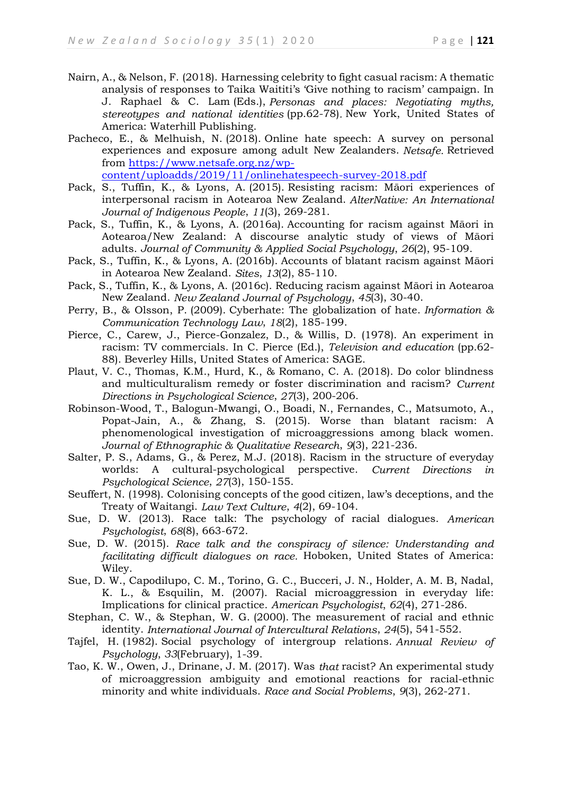- Nairn, A., & Nelson, F. (2018). Harnessing celebrity to fight casual racism: A thematic analysis of responses to Taika Waititi's 'Give nothing to racism' campaign. In J. Raphael & C. Lam (Eds.), *Personas and places: Negotiating myths, stereotypes and national identities* (pp.62-78)*.* New York, United States of America: Waterhill Publishing.
- Pacheco, E., & Melhuish, N. (2018). Online hate speech: A survey on personal experiences and exposure among adult New Zealanders. *Netsafe.* Retrieved from [https://www.netsafe.org.nz/wp](https://www.netsafe.org.nz/wp-content/uploadds/2019/11/onlinehatespeech-survey-2018.pdf)[content/uploadds/2019/11/onlinehatespeech-survey-2018.pdf](https://www.netsafe.org.nz/wp-content/uploadds/2019/11/onlinehatespeech-survey-2018.pdf)
- Pack, S., Tuffin, K., & Lyons, A. (2015). Resisting racism: Māori experiences of interpersonal racism in Aotearoa New Zealand. *AlterNative: An International Journal of Indigenous People*, *11*(3), 269-281.
- Pack, S., Tuffin, K., & Lyons, A. (2016a). Accounting for racism against Māori in Aotearoa/New Zealand: A discourse analytic study of views of Māori adults. *Journal of Community & Applied Social Psychology*, *26*(2), 95-109.
- Pack, S., Tuffin, K., & Lyons, A. (2016b). Accounts of blatant racism against Māori in Aotearoa New Zealand. *Sites*, *13*(2), 85-110.
- Pack, S., Tuffin, K., & Lyons, A. (2016c). Reducing racism against Māori in Aotearoa New Zealand. *New Zealand Journal of Psychology*, *45*(3), 30-40.
- Perry, B., & Olsson, P. (2009). Cyberhate: The globalization of hate. *Information & Communication Technology Law*, *18*(2), 185-199.
- Pierce, C., Carew, J., Pierce-Gonzalez, D., & Willis, D. (1978). An experiment in racism: TV commercials. In C. Pierce (Ed.), *Television and education* (pp.62- 88). Beverley Hills, United States of America: SAGE.
- Plaut, V. C., Thomas, K.M., Hurd, K., & Romano, C. A. (2018). Do color blindness and multiculturalism remedy or foster discrimination and racism? *Current Directions in Psychological Science*, *27*(3), 200-206.
- Robinson-Wood, T., Balogun-Mwangi, O., Boadi, N., Fernandes, C., Matsumoto, A., Popat-Jain, A., & Zhang, S. (2015). Worse than blatant racism: A phenomenological investigation of microaggressions among black women. *Journal of Ethnographic & Qualitative Research*, *9*(3), 221-236.
- Salter, P. S., Adams, G., & Perez, M.J. (2018). Racism in the structure of everyday worlds: A cultural-psychological perspective. *Current Directions in Psychological Science*, *27*(3), 150-155.
- Seuffert, N. (1998). Colonising concepts of the good citizen, law's deceptions, and the Treaty of Waitangi. *Law Text Culture*, *4*(2), 69-104.
- Sue, D. W. (2013). Race talk: The psychology of racial dialogues. *American Psychologist*, *68*(8), 663-672.
- Sue, D. W. (2015). *Race talk and the conspiracy of silence: Understanding and facilitating difficult dialogues on race.* Hoboken, United States of America: Wiley.
- Sue, D. W., Capodilupo, C. M., Torino, G. C., Bucceri, J. N., Holder, A. M. B, Nadal, K. L., & Esquilin, M. (2007). Racial microaggression in everyday life: Implications for clinical practice. *American Psychologist*, *62*(4), 271-286.
- Stephan, C. W., & Stephan, W. G. (2000). The measurement of racial and ethnic identity. *International Journal of Intercultural Relations*, *24*(5), 541-552.
- Tajfel, H. (1982). Social psychology of intergroup relations. *Annual Review of Psychology*, *33*(February), 1-39.
- Tao, K. W., Owen, J., Drinane, J. M. (2017). Was *that* racist? An experimental study of microaggression ambiguity and emotional reactions for racial-ethnic minority and white individuals. *Race and Social Problems*, *9*(3), 262-271.